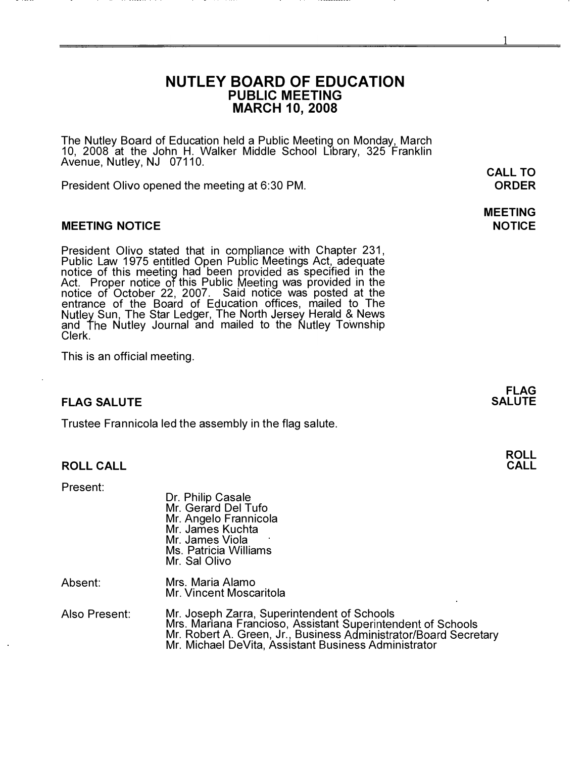# NUTLEY BOARD OF EDUCATION PUBLIC MEETING MARCH 10,2008

The Nutley Board of Education held a Public Meeting on Monday, March<br>10, 2008 at the John H. Walker Middle School Library, 325 Franklin Avenue, Nutley, NJ 07110.

President Olivo opened the meeting at 6:30 PM.

### MEETING NOTICE

President Olivo stated that in compliance with Chapter 231, Public Law 1975 entitled Open Public Meetings Act, adequate notice of this meeting had been provided as specified in the Act. Proper notice of this Public Meeting was provided in the notice of October 22, 2007. Said notice was posted at the entrance of the Board of Education offices, mailed to The Sun, The Star Ledger, The North Jersey Herald & News and The Nutley Journal and mailed to the Nutley Township Clerk.

This is an official meeting.

# FLAG SALUTE

Trustee Frannicola led the assembly in the flag salute.

### ROLL CALL

Present:

| Dr. Philip Casale<br>Mr. Gerard Del Tufo<br>Mr. Angelo Frannicola<br>Mr. James Kuchta<br>Mr. James Viola<br>Ms. Patricia Williams<br>Mr. Sal Olivo |
|----------------------------------------------------------------------------------------------------------------------------------------------------|
|                                                                                                                                                    |

- Absent: Mrs. Maria Alamo Mr. Vincent Moscaritola
- Also Present: Mr. Joseph Zarra, Superintendent of Schools Mrs. Mariana Francioso, Assistant Superintendent of Schools Mr. Robert A. Green, Jr., Business Administrator/Board Secretary Mr. Michael DeVita, Assistant Business Administrator

CALL TO ORDER

## MEETING NOTICE

FLAG **SALUTE** 

> ROLL CALL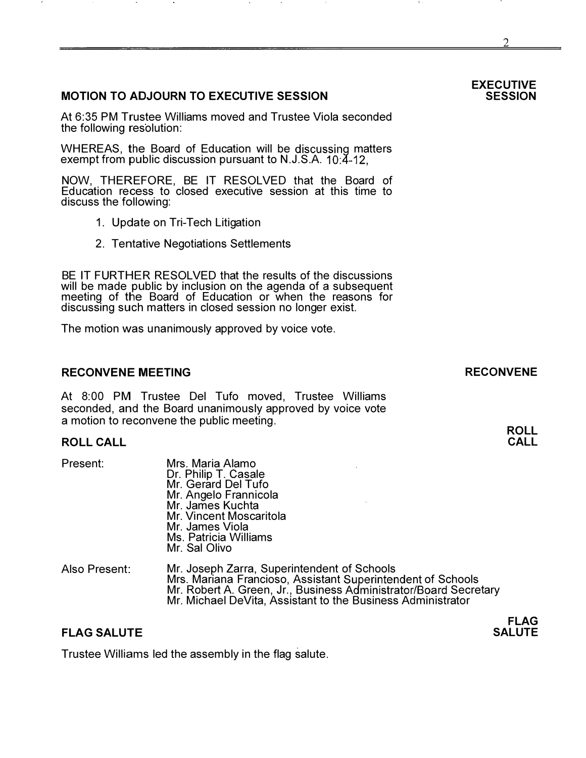# MOTION TO ADJOURN TO EXECUTIVE SESSION

At 6:35 PM Trustee Williams moved and Trustee Viola seconded the following resolution:

WHEREAS, the Board of Education will be discussing matters exempt from public discussion pursuant to N.J.S.A. 10:4-12,

NOW, THEREFORE, BE IT RESOLVED that the Board of Education recess to closed executive session at this time to discuss the following:

- 1. Update on Tri-Tech Litigation
- 2. Tentative Negotiations Settlements

BE IT FURTHER RESOLVED that the results of the discussions will be made public by inclusion on the agenda of a subsequent meeting of the Board of Education or when the reasons for discussing such matters in closed session no longer exist.

The motion was unanimously approved by voice vote.

#### RECONVENE MEETING

At 8:00 PM Trustee Del Tufo moved, Trustee Williams seconded, and the Board unanimously approved by voice vote a motion to reconvene the public meeting.

### ROLL CALL

Present: Also Present: Mrs. Maria Alamo Dr. Philip T. Casale Mr. Gerard Del Tufo Mr. Angelo Frannicola Mr. James Kuchta Mr. Vincent Moscaritola Mr. James Viola Ms. Patricia Williams Mr. Sal Olivo Mr. Joseph Zarra, Superintendent of Schools Mrs. Mariana Francioso, Assistant Superintendent of Schools Mr. Robert A. Green, Jr., Business Administrator/Board Secretary Mr. Michael DeVita, Assistant to the Business Administrator

## FLAG SALUTE

Trustee Williams led the assembly in the flag salute.

#### EXECUTIVE **SESSION**

RECONVENE

ROLL CALL

FLAG SALUTE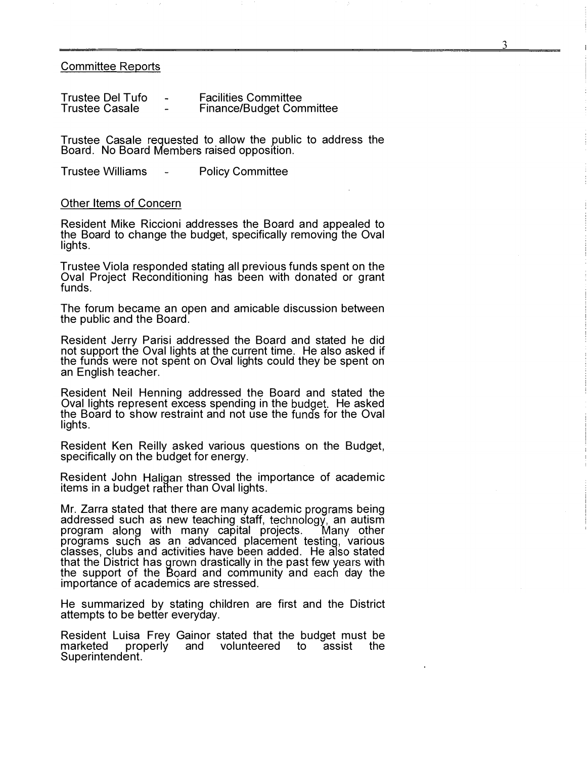#### **Committee Reports**

| <b>Trustee Del Tufo</b> | $\overline{\phantom{a}}$ | <b>Facilities Committee</b>     |
|-------------------------|--------------------------|---------------------------------|
| <b>Trustee Casale</b>   | $\overline{\phantom{0}}$ | <b>Finance/Budget Committee</b> |

Trustee Casale requested to allow the public to address the Board. No Board Members raised opposition.

Trustee Williams - Policy Committee

#### Other Items of Concern

Resident Mike Riccioni addresses the Board and appealed to the Board to change the budget, specifically removing the Oval lights.

Trustee Viola responded stating all previous funds spent on the Oval Project Reconditioning has been with donated or grant funds.

The forum became an open and amicable discussion between the public and the Board.

Resident Jerry Parisi addressed the Board and stated he did not support the Oval lights at the current time. He also asked if the funds were not spent on Oval lights could they be spent on an English teacher.

Resident Neil Henning addressed the Board and stated the Oval lights represent excess spending in the budget. He asked the Board to show restraint and not use the funds for the Oval lights.

Resident Ken Reilly asked various questions on the Budget, specifically on the budget for energy.

Resident John Haligan stressed the importance of academic items in a budget rather than Oval lights.

Mr. Zarra stated that there are many academic programs being addressed such as new teaching staff, technology, an autism program along with many capital projects. Many other programs such as an advanced placement testing, various classes, clubs and activities have been added. He also stated that the District has grown drastically in the past few years with the support of the Board and community and each day the importance of academics are stressed.

He summarized by stating children are first and the District attempts to be better everyday.

Resident Luisa Frey Gainor stated that the budget must be marketed properly and volunteered to assist the volunteered to Superintendent.